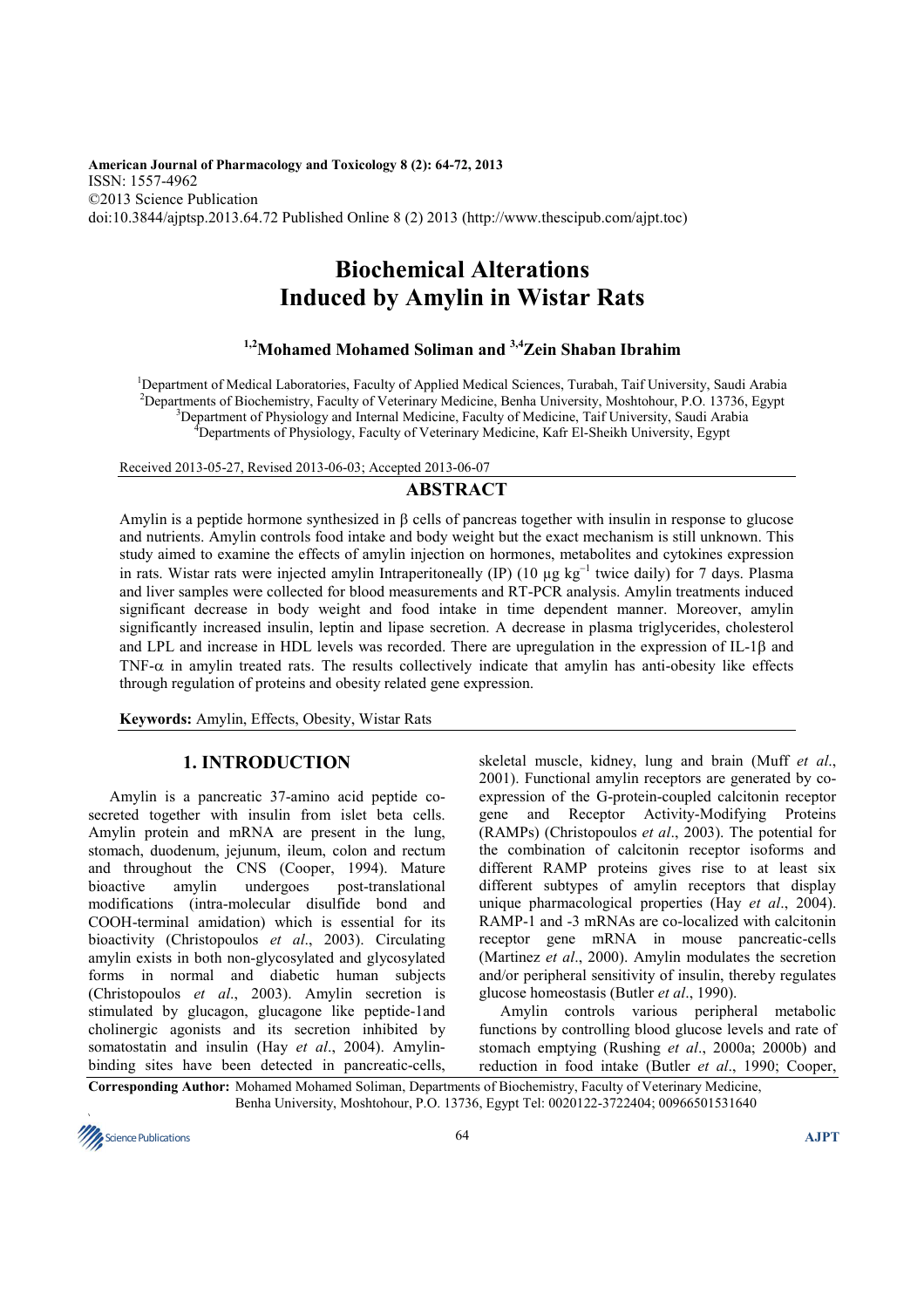**American Journal of Pharmacology and Toxicology 8 (2): 64-72, 2013**  ISSN: 1557-4962 ©2013 Science Publication doi:10.3844/ajptsp.2013.64.72 Published Online 8 (2) 2013 (http://www.thescipub.com/ajpt.toc)

# **Biochemical Alterations Induced by Amylin in Wistar Rats**

# **1,2Mohamed Mohamed Soliman and 3,4Zein Shaban Ibrahim**

<sup>1</sup>Department of Medical Laboratories, Faculty of Applied Medical Sciences, Turabah, Taif University, Saudi Arabia <sup>2</sup>Departments of Biochemistry, Faculty of Veterinary Medicine, Benha University, Moshtohour, P.O. 13736, Egypt <sup>3</sup>Department of Physiology and Internal Medicine, Faculty of Medicine, Taif University, Saudi Arabia <sup>4</sup>Departments of Physiology, Faculty of Veterinary Medicine, Kafr El-Sheikh University, Egypt

Received 2013-05-27, Revised 2013-06-03; Accepted 2013-06-07

# **ABSTRACT**

Amylin is a peptide hormone synthesized in β cells of pancreas together with insulin in response to glucose and nutrients. Amylin controls food intake and body weight but the exact mechanism is still unknown. This study aimed to examine the effects of amylin injection on hormones, metabolites and cytokines expression in rats. Wistar rats were injected amylin Intraperitoneally (IP) (10 µg kg<sup>−</sup><sup>1</sup> twice daily) for 7 days. Plasma and liver samples were collected for blood measurements and RT-PCR analysis. Amylin treatments induced significant decrease in body weight and food intake in time dependent manner. Moreover, amylin significantly increased insulin, leptin and lipase secretion. A decrease in plasma triglycerides, cholesterol and LPL and increase in HDL levels was recorded. There are upregulation in the expression of IL-1β and TNF-α in amylin treated rats. The results collectively indicate that amylin has anti-obesity like effects through regulation of proteins and obesity related gene expression.

**Keywords:** Amylin, Effects, Obesity, Wistar Rats

# **1. INTRODUCTION**

Amylin is a pancreatic 37-amino acid peptide cosecreted together with insulin from islet beta cells. Amylin protein and mRNA are present in the lung, stomach, duodenum, jejunum, ileum, colon and rectum and throughout the CNS (Cooper, 1994). Mature bioactive amylin undergoes post-translational modifications (intra-molecular disulfide bond and COOH-terminal amidation) which is essential for its bioactivity (Christopoulos *et al*., 2003). Circulating amylin exists in both non-glycosylated and glycosylated forms in normal and diabetic human subjects (Christopoulos *et al*., 2003). Amylin secretion is stimulated by glucagon, glucagone like peptide-1and cholinergic agonists and its secretion inhibited by somatostatin and insulin (Hay *et al*., 2004). Amylinbinding sites have been detected in pancreatic-cells,

skeletal muscle, kidney, lung and brain (Muff *et al*., 2001). Functional amylin receptors are generated by coexpression of the G-protein-coupled calcitonin receptor gene and Receptor Activity-Modifying Proteins (RAMPs) (Christopoulos *et al*., 2003). The potential for the combination of calcitonin receptor isoforms and different RAMP proteins gives rise to at least six different subtypes of amylin receptors that display unique pharmacological properties (Hay *et al*., 2004). RAMP-1 and -3 mRNAs are co-localized with calcitonin receptor gene mRNA in mouse pancreatic-cells (Martinez *et al*., 2000). Amylin modulates the secretion and/or peripheral sensitivity of insulin, thereby regulates glucose homeostasis (Butler *et al*., 1990).

Amylin controls various peripheral metabolic functions by controlling blood glucose levels and rate of stomach emptying (Rushing *et al*., 2000a; 2000b) and reduction in food intake (Butler *et al*., 1990; Cooper,

**Corresponding Author:** Mohamed Mohamed Soliman, Departments of Biochemistry, Faculty of Veterinary Medicine, Benha University, Moshtohour, P.O. 13736, Egypt Tel: 0020122-3722404; 00966501531640

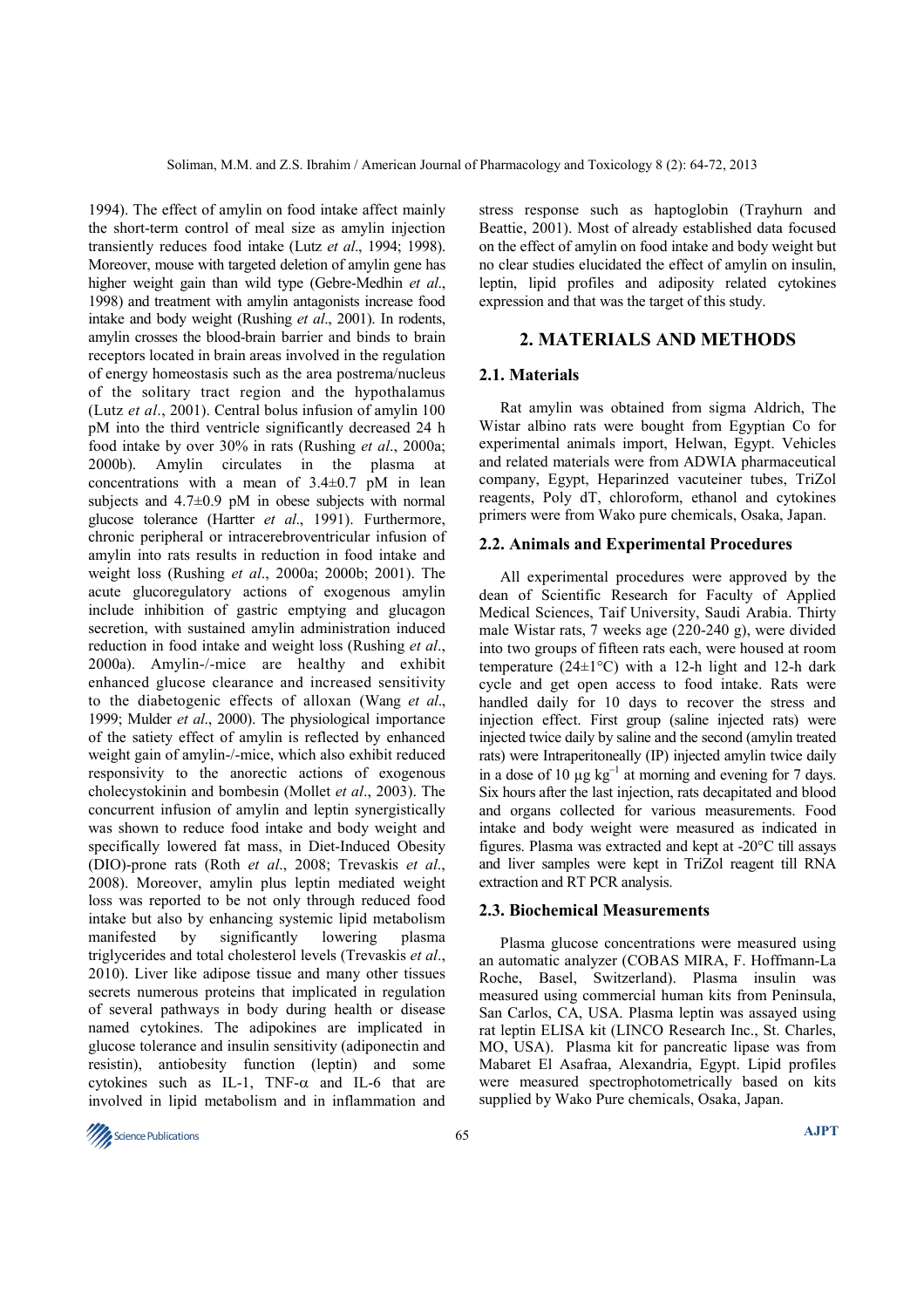1994). The effect of amylin on food intake affect mainly the short-term control of meal size as amylin injection transiently reduces food intake (Lutz *et al*., 1994; 1998). Moreover, mouse with targeted deletion of amylin gene has higher weight gain than wild type (Gebre-Medhin *et al*., 1998) and treatment with amylin antagonists increase food intake and body weight (Rushing *et al*., 2001). In rodents, amylin crosses the blood-brain barrier and binds to brain receptors located in brain areas involved in the regulation of energy homeostasis such as the area postrema/nucleus of the solitary tract region and the hypothalamus (Lutz *et al*., 2001). Central bolus infusion of amylin 100 pM into the third ventricle significantly decreased 24 h food intake by over 30% in rats (Rushing *et al*., 2000a; 2000b). Amylin circulates in the plasma at concentrations with a mean of  $3.4 \pm 0.7$  pM in lean subjects and  $4.7\pm0.9$  pM in obese subjects with normal glucose tolerance (Hartter *et al*., 1991). Furthermore, chronic peripheral or intracerebroventricular infusion of amylin into rats results in reduction in food intake and weight loss (Rushing *et al*., 2000a; 2000b; 2001). The acute glucoregulatory actions of exogenous amylin include inhibition of gastric emptying and glucagon secretion, with sustained amylin administration induced reduction in food intake and weight loss (Rushing *et al*., 2000a). Amylin-/-mice are healthy and exhibit enhanced glucose clearance and increased sensitivity to the diabetogenic effects of alloxan (Wang *et al*., 1999; Mulder *et al*., 2000). The physiological importance of the satiety effect of amylin is reflected by enhanced weight gain of amylin-/-mice, which also exhibit reduced responsivity to the anorectic actions of exogenous cholecystokinin and bombesin (Mollet *et al*., 2003). The concurrent infusion of amylin and leptin synergistically was shown to reduce food intake and body weight and specifically lowered fat mass, in Diet-Induced Obesity (DIO)-prone rats (Roth *et al*., 2008; Trevaskis *et al*., 2008). Moreover, amylin plus leptin mediated weight loss was reported to be not only through reduced food intake but also by enhancing systemic lipid metabolism manifested by significantly lowering plasma triglycerides and total cholesterol levels (Trevaskis *et al*., 2010). Liver like adipose tissue and many other tissues secrets numerous proteins that implicated in regulation of several pathways in body during health or disease named cytokines. The adipokines are implicated in glucose tolerance and insulin sensitivity (adiponectin and resistin), antiobesity function (leptin) and some cytokines such as IL-1, TNF- $\alpha$  and IL-6 that are involved in lipid metabolism and in inflammation and

stress response such as haptoglobin (Trayhurn and Beattie, 2001). Most of already established data focused on the effect of amylin on food intake and body weight but no clear studies elucidated the effect of amylin on insulin, leptin, lipid profiles and adiposity related cytokines expression and that was the target of this study.

#### **2. MATERIALS AND METHODS**

#### **2.1. Materials**

Rat amylin was obtained from sigma Aldrich, The Wistar albino rats were bought from Egyptian Co for experimental animals import, Helwan, Egypt. Vehicles and related materials were from ADWIA pharmaceutical company, Egypt, Heparinzed vacuteiner tubes, TriZol reagents, Poly dT, chloroform, ethanol and cytokines primers were from Wako pure chemicals, Osaka, Japan.

#### **2.2. Animals and Experimental Procedures**

All experimental procedures were approved by the dean of Scientific Research for Faculty of Applied Medical Sciences, Taif University, Saudi Arabia. Thirty male Wistar rats, 7 weeks age (220-240 g), were divided into two groups of fifteen rats each, were housed at room temperature ( $24\pm1$ °C) with a 12-h light and 12-h dark cycle and get open access to food intake. Rats were handled daily for 10 days to recover the stress and injection effect. First group (saline injected rats) were injected twice daily by saline and the second (amylin treated rats) were Intraperitoneally (IP) injected amylin twice daily in a dose of 10  $\mu$ g kg<sup>-1</sup> at morning and evening for 7 days. Six hours after the last injection, rats decapitated and blood and organs collected for various measurements. Food intake and body weight were measured as indicated in figures. Plasma was extracted and kept at -20°C till assays and liver samples were kept in TriZol reagent till RNA extraction and RT PCR analysis.

# **2.3. Biochemical Measurements**

Plasma glucose concentrations were measured using an automatic analyzer (COBAS MIRA, F. Hoffmann-La Roche, Basel, Switzerland). Plasma insulin was measured using commercial human kits from Peninsula, San Carlos, CA, USA. Plasma leptin was assayed using rat leptin ELISA kit (LINCO Research Inc., St. Charles, MO, USA). Plasma kit for pancreatic lipase was from Mabaret El Asafraa, Alexandria, Egypt. Lipid profiles were measured spectrophotometrically based on kits supplied by Wako Pure chemicals, Osaka, Japan.

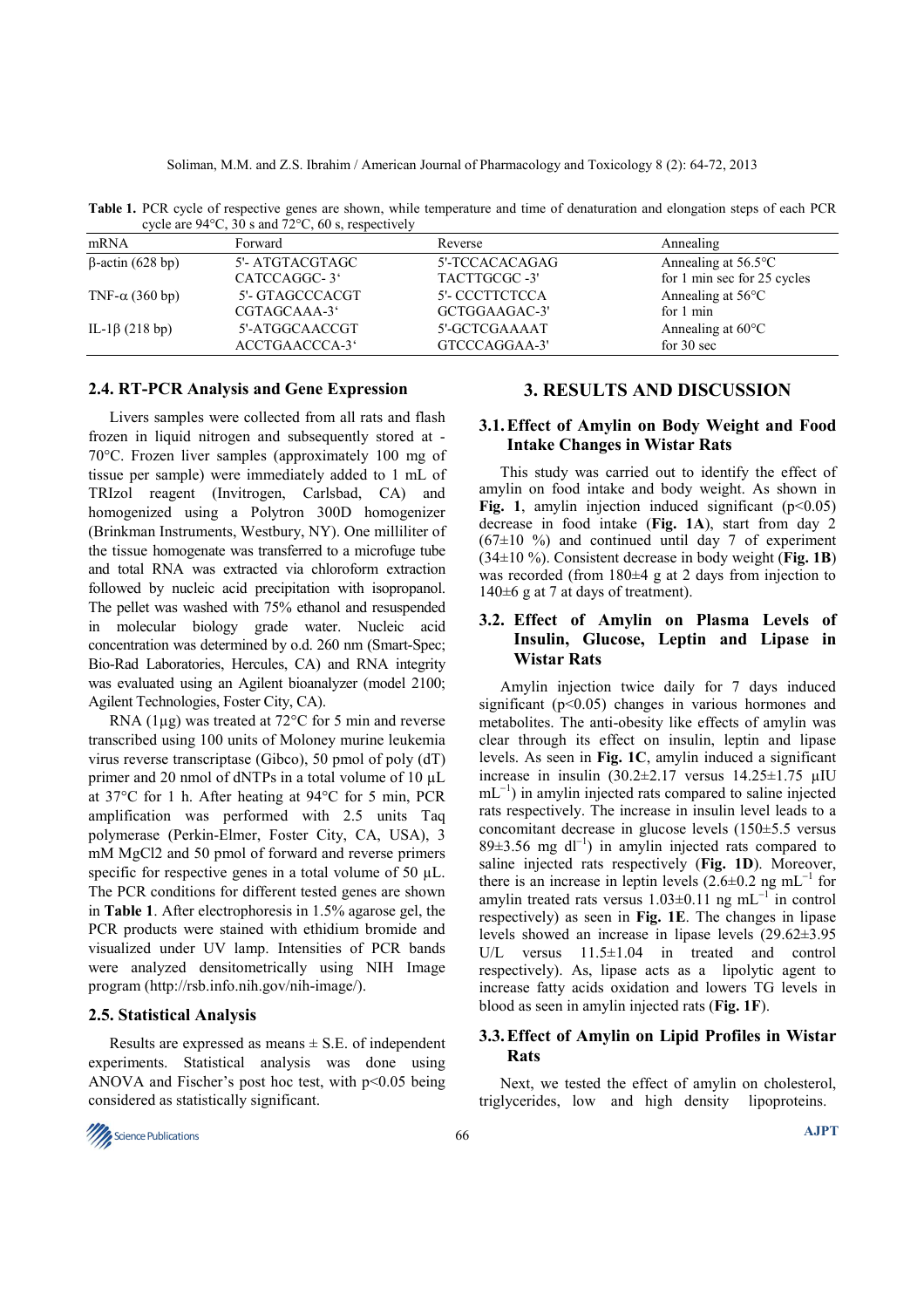**Table 1.** PCR cycle of respective genes are shown, while temperature and time of denaturation and elongation steps of each PCR cycle are 94°C, 30 s and 72°C, 60 s, respectively mRNA Forward Forward Reverse **Reverse** Annealing

| mRNA                    | Forward         | Reverse        | Annealing                     |
|-------------------------|-----------------|----------------|-------------------------------|
| $\beta$ -actin (628 bp) | 5'- ATGTACGTAGC | 5'-TCCACACAGAG | Annealing at $56.5^{\circ}$ C |
|                         | CATCCAGGC-3     | TACTTGCGC-3'   | for 1 min sec for 25 cycles   |
| TNF- $\alpha$ (360 bp)  | 5'- GTAGCCCACGT | 5'- CCCTTCTCCA | Annealing at $56^{\circ}$ C   |
|                         | CGTAGCAAA-3     | GCTGGAAGAC-3'  | for 1 min                     |
| IL-1 $\beta$ (218 bp)   | 5'-ATGGCAACCGT  | 5'-GCTCGAAAAT  | Annealing at $60^{\circ}$ C   |
|                         | ACCTGAACCCA-3   | GTCCCAGGAA-3'  | for $30 \text{ sec}$          |

# **2.4. RT-PCR Analysis and Gene Expression**

Livers samples were collected from all rats and flash frozen in liquid nitrogen and subsequently stored at - 70°C. Frozen liver samples (approximately 100 mg of tissue per sample) were immediately added to 1 mL of TRIzol reagent (Invitrogen, Carlsbad, CA) and homogenized using a Polytron 300D homogenizer (Brinkman Instruments, Westbury, NY). One milliliter of the tissue homogenate was transferred to a microfuge tube and total RNA was extracted via chloroform extraction followed by nucleic acid precipitation with isopropanol. The pellet was washed with 75% ethanol and resuspended in molecular biology grade water. Nucleic acid concentration was determined by o.d. 260 nm (Smart-Spec; Bio-Rad Laboratories, Hercules, CA) and RNA integrity was evaluated using an Agilent bioanalyzer (model 2100; Agilent Technologies, Foster City, CA).

RNA (1µg) was treated at 72°C for 5 min and reverse transcribed using 100 units of Moloney murine leukemia virus reverse transcriptase (Gibco), 50 pmol of poly (dT) primer and 20 nmol of dNTPs in a total volume of 10 µL at 37°C for 1 h. After heating at 94°C for 5 min, PCR amplification was performed with 2.5 units Taq polymerase (Perkin-Elmer, Foster City, CA, USA), 3 mM MgCl2 and 50 pmol of forward and reverse primers specific for respective genes in a total volume of 50  $\mu$ L. The PCR conditions for different tested genes are shown in **Table 1**. After electrophoresis in 1.5% agarose gel, the PCR products were stained with ethidium bromide and visualized under UV lamp. Intensities of PCR bands were analyzed densitometrically using NIH Image program (http://rsb.info.nih.gov/nih-image/).

#### **2.5. Statistical Analysis**

Results are expressed as means  $\pm$  S.E. of independent experiments. Statistical analysis was done using ANOVA and Fischer's post hoc test, with  $p<0.05$  being considered as statistically significant.

# **3. RESULTS AND DISCUSSION**

### **3.1. Effect of Amylin on Body Weight and Food Intake Changes in Wistar Rats**

This study was carried out to identify the effect of amylin on food intake and body weight. As shown in **Fig. 1**, amylin injection induced significant  $(p<0.05)$ decrease in food intake (**Fig. 1A**), start from day 2  $(67\pm10\degree\%)$  and continued until day 7 of experiment (34±10 %). Consistent decrease in body weight (**Fig. 1B**) was recorded (from  $180±4$  g at 2 days from injection to 140±6 g at 7 at days of treatment).

# **3.2. Effect of Amylin on Plasma Levels of Insulin, Glucose, Leptin and Lipase in Wistar Rats**

Amylin injection twice daily for 7 days induced significant ( $p<0.05$ ) changes in various hormones and metabolites. The anti-obesity like effects of amylin was clear through its effect on insulin, leptin and lipase levels. As seen in **Fig. 1C**, amylin induced a significant increase in insulin  $(30.2\pm2.17 \text{ versus } 14.25\pm1.75 \text{ µIU})$ mL<sup>-1</sup>) in amylin injected rats compared to saline injected rats respectively. The increase in insulin level leads to a concomitant decrease in glucose levels (150±5.5 versus 89±3.56 mg dl<sup>-1</sup>) in amylin injected rats compared to saline injected rats respectively (**Fig. 1D**). Moreover, there is an increase in leptin levels  $(2.6 \pm 0.2 \text{ ng } \text{mL}^{-1}$  for amylin treated rats versus  $1.03 \pm 0.11$  ng mL<sup>-1</sup> in control respectively) as seen in **Fig. 1E**. The changes in lipase levels showed an increase in lipase levels (29.62±3.95 U/L versus 11.5±1.04 in treated and control respectively). As, lipase acts as a lipolytic agent to increase fatty acids oxidation and lowers TG levels in blood as seen in amylin injected rats (**Fig. 1F**).

## **3.3. Effect of Amylin on Lipid Profiles in Wistar Rats**

Next, we tested the effect of amylin on cholesterol, triglycerides, low and high density lipoproteins.

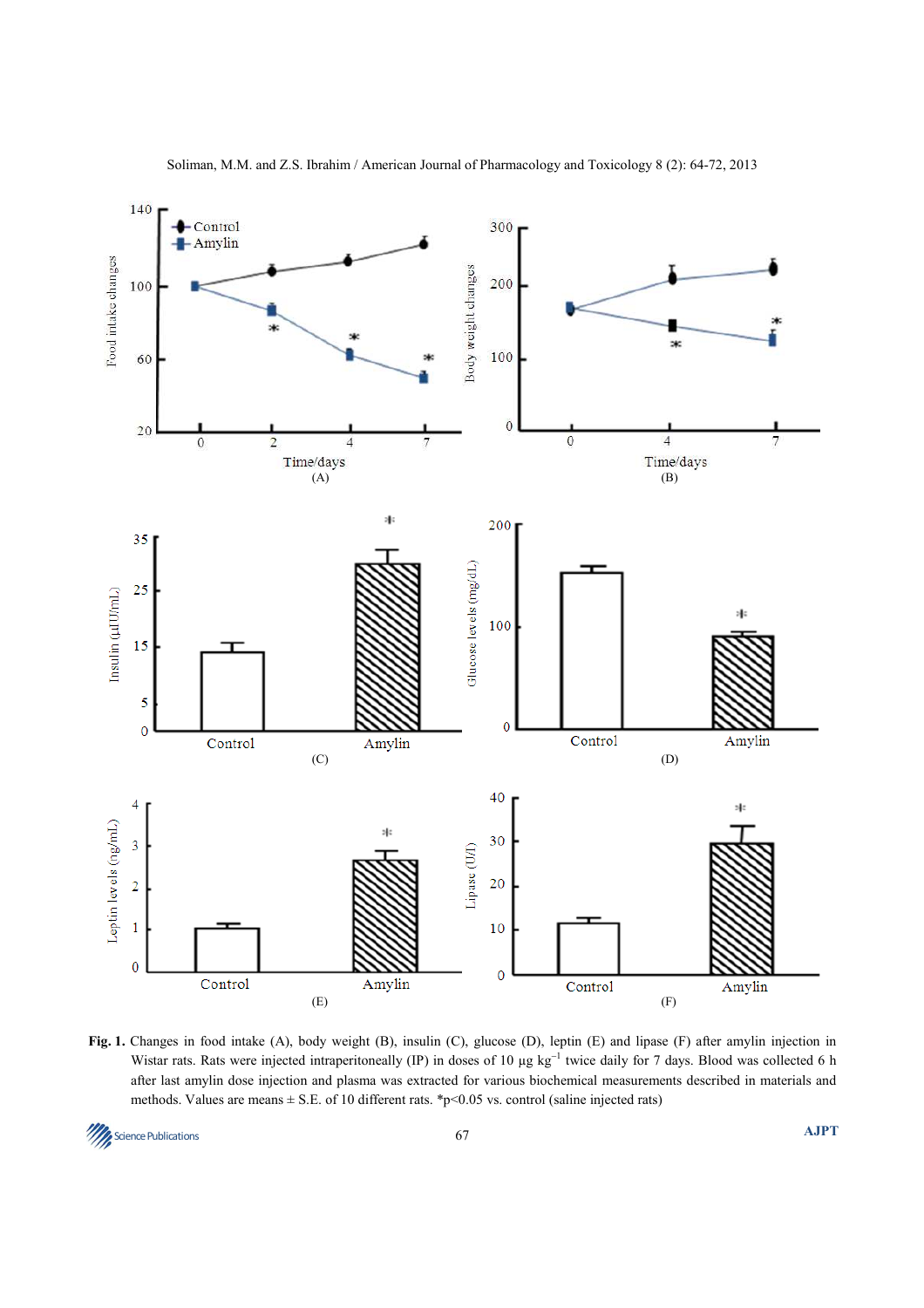

**Fig. 1.** Changes in food intake (A), body weight (B), insulin (C), glucose (D), leptin (E) and lipase (F) after amylin injection in Wistar rats. Rats were injected intraperitoneally (IP) in doses of 10 μg kg<sup>-1</sup> twice daily for 7 days. Blood was collected 6 h after last amylin dose injection and plasma was extracted for various biochemical measurements described in materials and methods. Values are means  $\pm$  S.E. of 10 different rats. \*p<0.05 vs. control (saline injected rats)

**Science Publications** 67 **AJPT**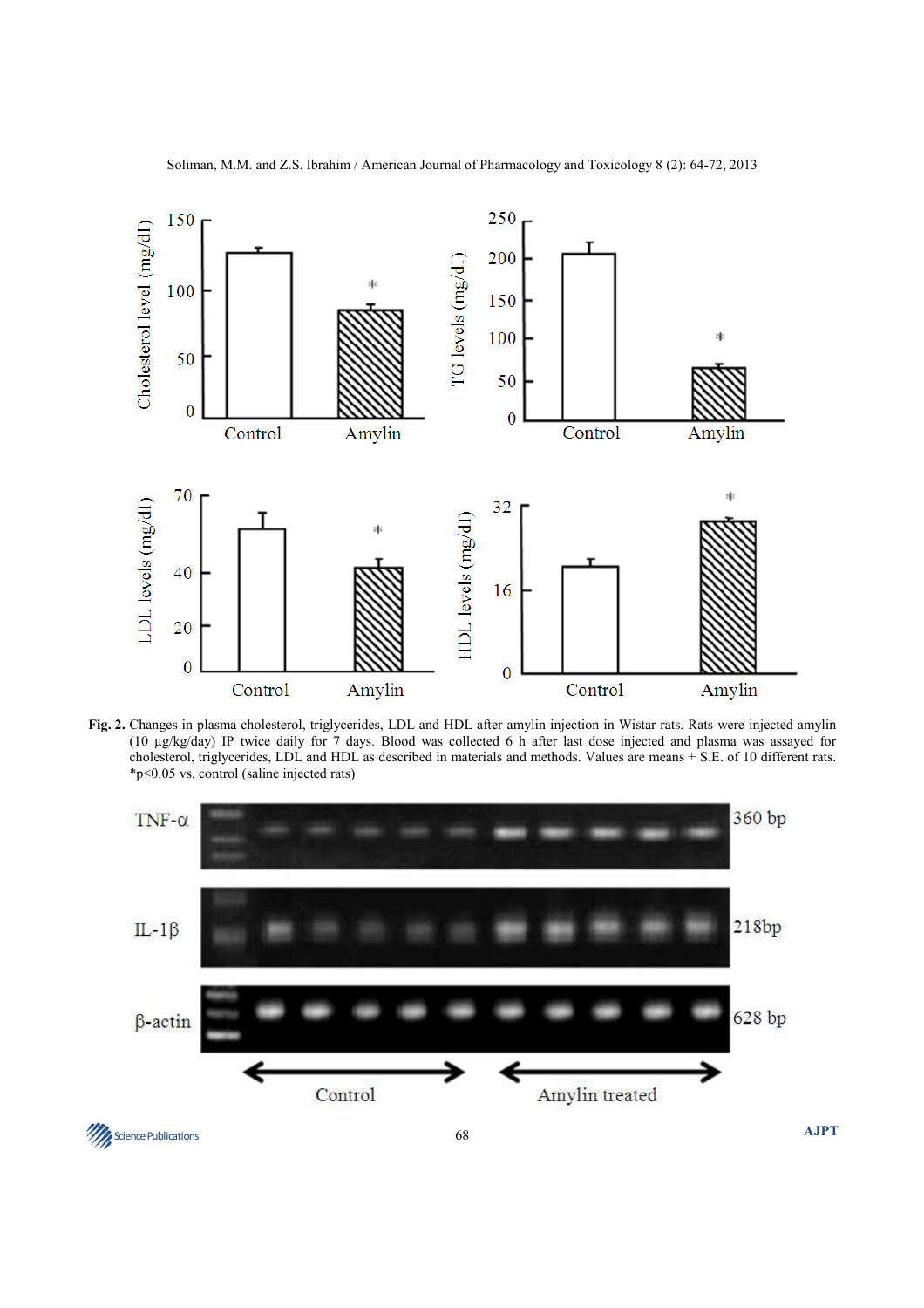

**Fig. 2.** Changes in plasma cholesterol, triglycerides, LDL and HDL after amylin injection in Wistar rats. Rats were injected amylin (10 µg/kg/day) IP twice daily for 7 days. Blood was collected 6 h after last dose injected and plasma was assayed for cholesterol, triglycerides, LDL and HDL as described in materials and methods. Values are means ± S.E. of 10 different rats. \*p<0.05 vs. control (saline injected rats)

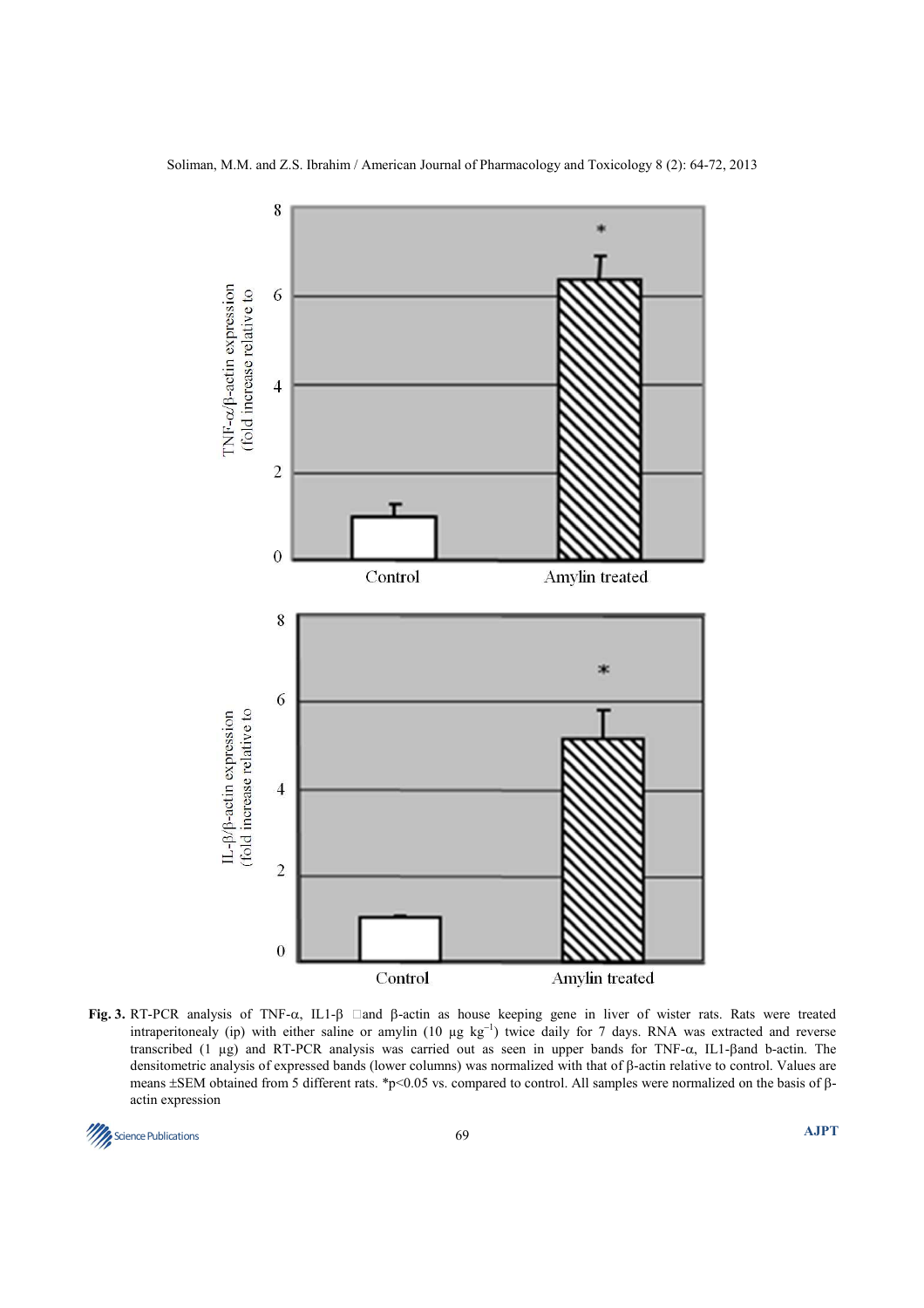

**Fig. 3.** RT-PCR analysis of TNF- $\alpha$ , IL1-β  $\Box$  and β-actin as house keeping gene in liver of wister rats. Rats were treated intraperitonealy (ip) with either saline or amylin (10  $\mu$ g kg<sup>-1</sup>) twice daily for 7 days. RNA was extracted and reverse transcribed (1 µg) and RT-PCR analysis was carried out as seen in upper bands for TNF-α, IL1-βand b-actin. The densitometric analysis of expressed bands (lower columns) was normalized with that of β-actin relative to control. Values are means ±SEM obtained from 5 different rats. \*p<0.05 vs. compared to control. All samples were normalized on the basis of βactin expression

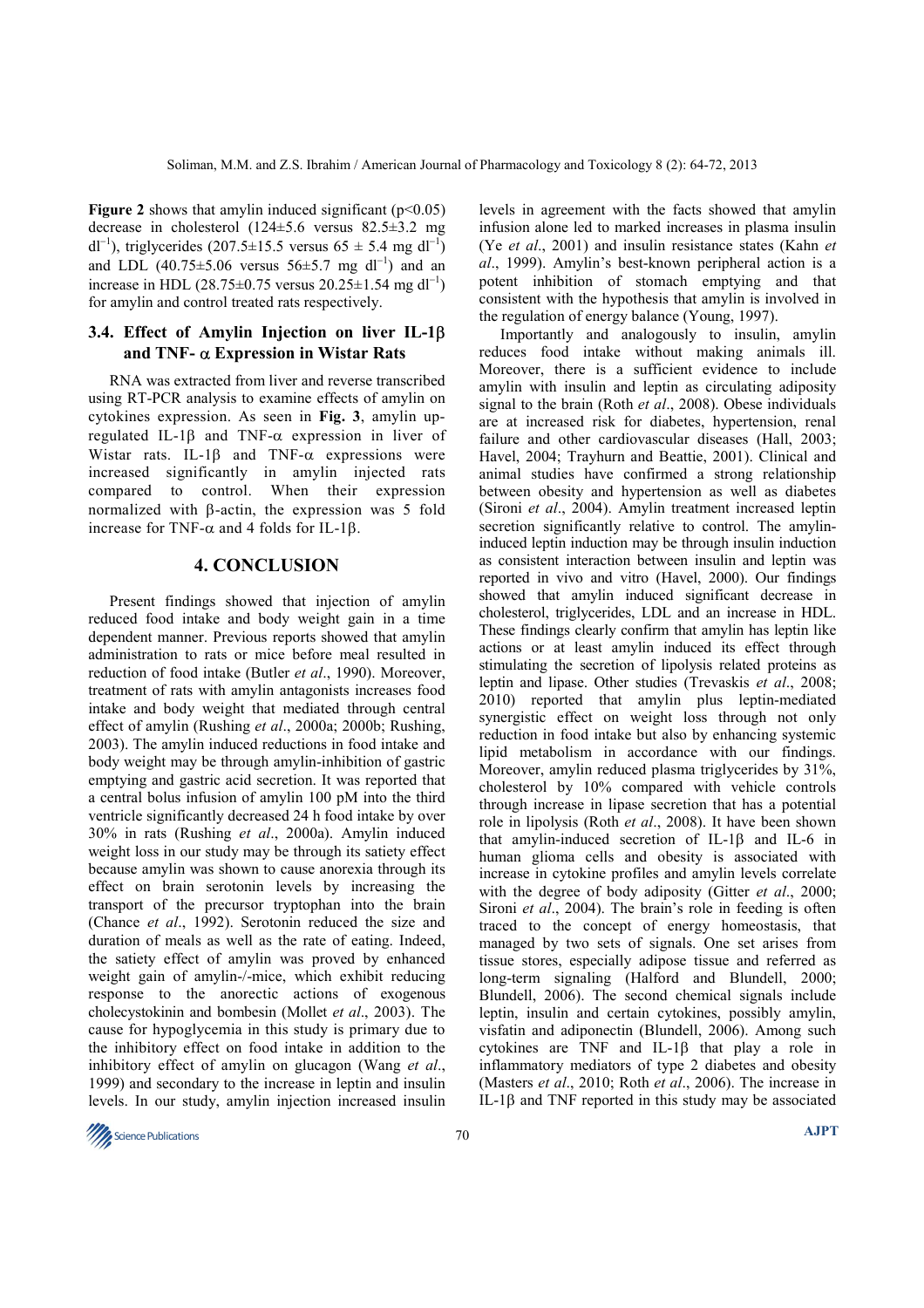**Figure 2** shows that amylin induced significant  $(p<0.05)$ decrease in cholesterol (124±5.6 versus 82.5±3.2 mg dl<sup>-1</sup>), triglycerides (207.5±15.5 versus 65 ± 5.4 mg dl<sup>-1</sup>) and LDL  $(40.75 \pm 5.06$  versus  $56 \pm 5.7$  mg dl<sup>-1</sup>) and an increase in HDL (28.75±0.75 versus 20.25±1.54 mg dl<sup>-1</sup>) for amylin and control treated rats respectively.

# **3.4. Effect of Amylin Injection on liver IL-1**β **and TNF-** α **Expression in Wistar Rats**

RNA was extracted from liver and reverse transcribed using RT-PCR analysis to examine effects of amylin on cytokines expression. As seen in **Fig. 3**, amylin upregulated IL-1 $\beta$  and TNF- $\alpha$  expression in liver of Wistar rats. IL-1 $\beta$  and TNF- $\alpha$  expressions were increased significantly in amylin injected rats compared to control. When their expression normalized with β-actin, the expression was 5 fold increase for TNF-α and 4 folds for IL-1β.

# **4. CONCLUSION**

Present findings showed that injection of amylin reduced food intake and body weight gain in a time dependent manner. Previous reports showed that amylin administration to rats or mice before meal resulted in reduction of food intake (Butler *et al*., 1990). Moreover, treatment of rats with amylin antagonists increases food intake and body weight that mediated through central effect of amylin (Rushing *et al*., 2000a; 2000b; Rushing, 2003). The amylin induced reductions in food intake and body weight may be through amylin-inhibition of gastric emptying and gastric acid secretion. It was reported that a central bolus infusion of amylin 100 pM into the third ventricle significantly decreased 24 h food intake by over 30% in rats (Rushing *et al*., 2000a). Amylin induced weight loss in our study may be through its satiety effect because amylin was shown to cause anorexia through its effect on brain serotonin levels by increasing the transport of the precursor tryptophan into the brain (Chance *et al*., 1992). Serotonin reduced the size and duration of meals as well as the rate of eating. Indeed, the satiety effect of amylin was proved by enhanced weight gain of amylin-/-mice, which exhibit reducing response to the anorectic actions of exogenous cholecystokinin and bombesin (Mollet *et al*., 2003). The cause for hypoglycemia in this study is primary due to the inhibitory effect on food intake in addition to the inhibitory effect of amylin on glucagon (Wang *et al*., 1999) and secondary to the increase in leptin and insulin levels. In our study, amylin injection increased insulin

levels in agreement with the facts showed that amylin infusion alone led to marked increases in plasma insulin (Ye *et al*., 2001) and insulin resistance states (Kahn *et al*., 1999). Amylin's best-known peripheral action is a potent inhibition of stomach emptying and that consistent with the hypothesis that amylin is involved in the regulation of energy balance (Young, 1997).

Importantly and analogously to insulin, amylin reduces food intake without making animals ill. Moreover, there is a sufficient evidence to include amylin with insulin and leptin as circulating adiposity signal to the brain (Roth *et al*., 2008). Obese individuals are at increased risk for diabetes, hypertension, renal failure and other cardiovascular diseases (Hall, 2003; Havel, 2004; Trayhurn and Beattie, 2001). Clinical and animal studies have confirmed a strong relationship between obesity and hypertension as well as diabetes (Sironi *et al*., 2004). Amylin treatment increased leptin secretion significantly relative to control. The amylininduced leptin induction may be through insulin induction as consistent interaction between insulin and leptin was reported in vivo and vitro (Havel, 2000). Our findings showed that amylin induced significant decrease in cholesterol, triglycerides, LDL and an increase in HDL. These findings clearly confirm that amylin has leptin like actions or at least amylin induced its effect through stimulating the secretion of lipolysis related proteins as leptin and lipase. Other studies (Trevaskis *et al*., 2008; 2010) reported that amylin plus leptin-mediated synergistic effect on weight loss through not only reduction in food intake but also by enhancing systemic lipid metabolism in accordance with our findings. Moreover, amylin reduced plasma triglycerides by 31%, cholesterol by 10% compared with vehicle controls through increase in lipase secretion that has a potential role in lipolysis (Roth *et al*., 2008). It have been shown that amylin-induced secretion of IL-1β and IL-6 in human glioma cells and obesity is associated with increase in cytokine profiles and amylin levels correlate with the degree of body adiposity (Gitter *et al*., 2000; Sironi *et al.*, 2004). The brain's role in feeding is often traced to the concept of energy homeostasis, that managed by two sets of signals. One set arises from tissue stores, especially adipose tissue and referred as long-term signaling (Halford and Blundell, 2000; Blundell, 2006). The second chemical signals include leptin, insulin and certain cytokines, possibly amylin, visfatin and adiponectin (Blundell, 2006). Among such cytokines are TNF and IL-1β that play a role in inflammatory mediators of type 2 diabetes and obesity (Masters *et al*., 2010; Roth *et al*., 2006). The increase in IL-1β and TNF reported in this study may be associated

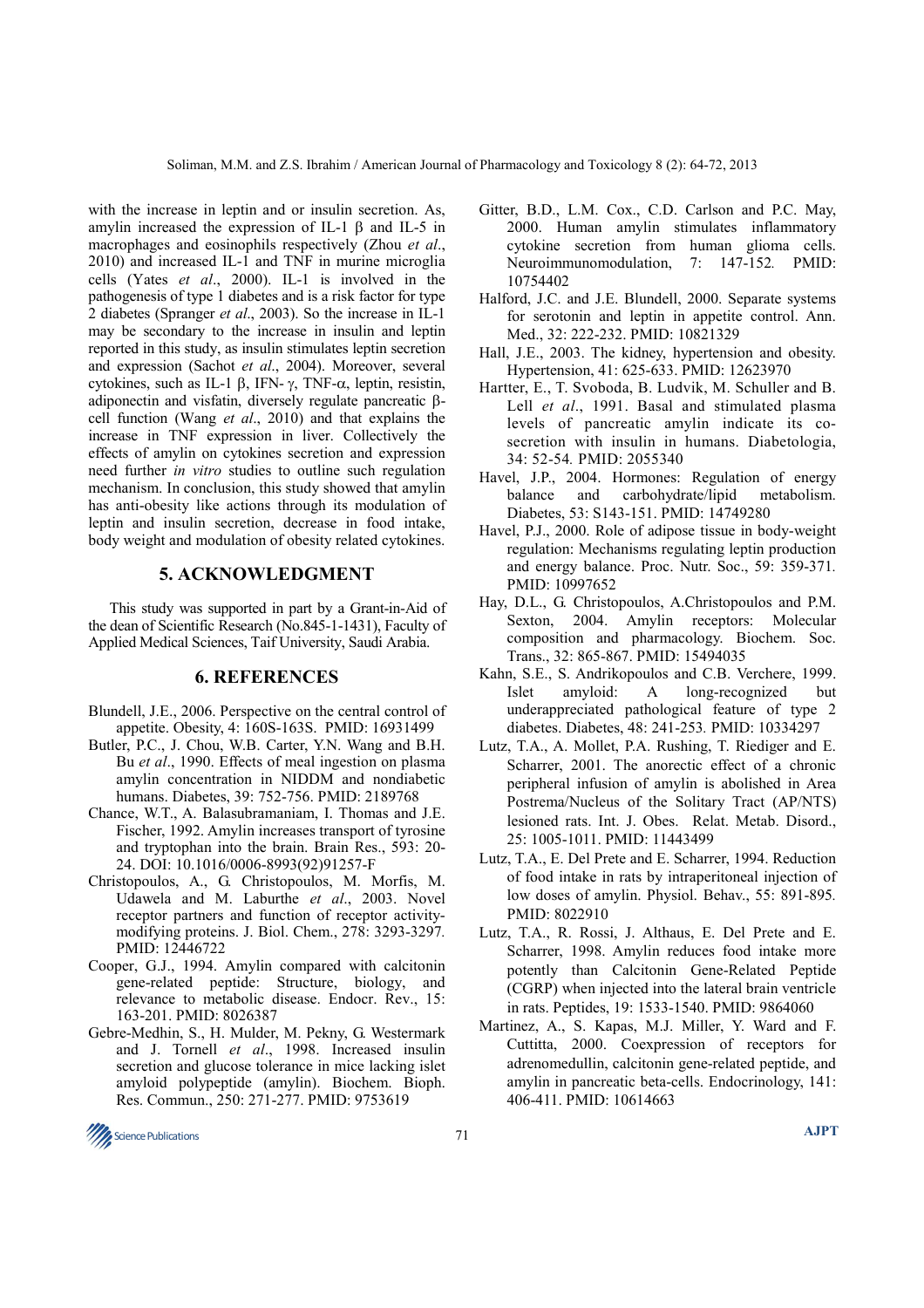with the increase in leptin and or insulin secretion. As, amylin increased the expression of IL-1 β and IL-5 in macrophages and eosinophils respectively (Zhou *et al*., 2010) and increased IL-1 and TNF in murine microglia cells (Yates *et al*., 2000). IL-1 is involved in the pathogenesis of type 1 diabetes and is a risk factor for type 2 diabetes (Spranger *et al*., 2003). So the increase in IL-1 may be secondary to the increase in insulin and leptin reported in this study, as insulin stimulates leptin secretion and expression (Sachot *et al*., 2004). Moreover, several cytokines, such as IL-1 β, IFN- γ, TNF-α, leptin, resistin, adiponectin and visfatin, diversely regulate pancreatic βcell function (Wang *et al*., 2010) and that explains the increase in TNF expression in liver. Collectively the effects of amylin on cytokines secretion and expression need further *in vitro* studies to outline such regulation mechanism. In conclusion, this study showed that amylin has anti-obesity like actions through its modulation of leptin and insulin secretion, decrease in food intake, body weight and modulation of obesity related cytokines.

## **5. ACKNOWLEDGMENT**

This study was supported in part by a Grant-in-Aid of the dean of Scientific Research (No.845-1-1431), Faculty of Applied Medical Sciences, Taif University, Saudi Arabia.

#### **6. REFERENCES**

- Blundell, J.E., 2006. Perspective on the central control of appetite. Obesity, 4: 160S-163S. PMID: 16931499
- Butler, P.C., J. Chou, W.B. Carter, Y.N. Wang and B.H. Bu *et al*., 1990. Effects of meal ingestion on plasma amylin concentration in NIDDM and nondiabetic humans. Diabetes, 39: 752-756. PMID: 2189768
- Chance, W.T., A. Balasubramaniam, I. Thomas and J.E. Fischer, 1992. Amylin increases transport of tyrosine and tryptophan into the brain. Brain Res., 593: 20- 24. DOI: 10.1016/0006-8993(92)91257-F
- Christopoulos, A., G. Christopoulos, M. Morfis, M. Udawela and M. Laburthe *et al*., 2003. Novel receptor partners and function of receptor activitymodifying proteins. J. Biol. Chem., 278: 3293-3297*.* PMID: 12446722
- Cooper, G.J., 1994. Amylin compared with calcitonin gene-related peptide: Structure, biology, and relevance to metabolic disease. Endocr. Rev., 15: 163-201. PMID: 8026387
- Gebre-Medhin, S., H. Mulder, M. Pekny, G. Westermark and J. Tornell *et al*., 1998. Increased insulin secretion and glucose tolerance in mice lacking islet amyloid polypeptide (amylin). Biochem. Bioph. Res. Commun., 250: 271-277. PMID: 9753619
- Gitter, B.D., L.M. Cox., C.D. Carlson and P.C. May, 2000. Human amylin stimulates inflammatory cytokine secretion from human glioma cells. Neuroimmunomodulation, 7: 147-152*.* PMID: 10754402
- Halford, J.C. and J.E. Blundell, 2000. Separate systems for serotonin and leptin in appetite control. Ann. Med., 32: 222-232. PMID: 10821329
- Hall, J.E., 2003. The kidney, hypertension and obesity. Hypertension, 41: 625-633. PMID: 12623970
- Hartter, E., T. Svoboda, B. Ludvik, M. Schuller and B. Lell *et al*., 1991. Basal and stimulated plasma levels of pancreatic amylin indicate its cosecretion with insulin in humans. Diabetologia, 34: 52-54*.* PMID: 2055340
- Havel, J.P., 2004. Hormones: Regulation of energy balance and carbohydrate/lipid metabolism. Diabetes, 53: S143-151. PMID: 14749280
- Havel, P.J., 2000. Role of adipose tissue in body-weight regulation: Mechanisms regulating leptin production and energy balance. Proc. Nutr. Soc., 59: 359-371*.* PMID: 10997652
- Hay, D.L., G. Christopoulos, A.Christopoulos and P.M. Sexton, 2004. Amylin receptors: Molecular composition and pharmacology. Biochem. Soc. Trans., 32: 865-867. PMID: 15494035
- Kahn, S.E., S. Andrikopoulos and C.B. Verchere, 1999. Islet amyloid: A long-recognized but underappreciated pathological feature of type 2 diabetes. Diabetes, 48: 241-253*.* PMID: 10334297
- Lutz, T.A., A. Mollet, P.A. Rushing, T. Riediger and E. Scharrer, 2001. The anorectic effect of a chronic peripheral infusion of amylin is abolished in Area Postrema/Nucleus of the Solitary Tract (AP/NTS) lesioned rats. Int. J. Obes. Relat. Metab. Disord., 25: 1005-1011. PMID: 11443499
- Lutz, T.A., E. Del Prete and E. Scharrer, 1994. Reduction of food intake in rats by intraperitoneal injection of low doses of amylin. Physiol. Behav., 55: 891-895*.* PMID: 8022910
- Lutz, T.A., R. Rossi, J. Althaus, E. Del Prete and E. Scharrer, 1998. Amylin reduces food intake more potently than Calcitonin Gene-Related Peptide (CGRP) when injected into the lateral brain ventricle in rats. Peptides, 19: 1533-1540. PMID: 9864060
- Martinez, A., S. Kapas, M.J. Miller, Y. Ward and F. Cuttitta, 2000. Coexpression of receptors for adrenomedullin, calcitonin gene-related peptide, and amylin in pancreatic beta-cells. Endocrinology, 141: 406-411. PMID: 10614663